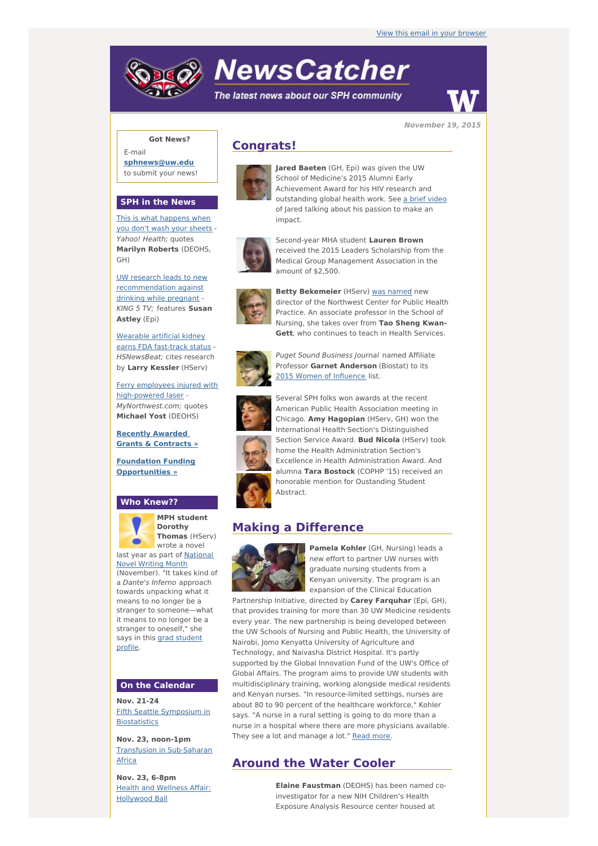# **NewsCatcher**

The latest news about our SPH community



**November 19, 2015**

## **Got News?**

E-mail **[sphnews@uw.edu](mailto:sphnews@uw.edu)** to submit your news!

## **SPH in the News**

This is what [happens](http://engage.washington.edu/site/R?i=V8lZ6G_UIrv-k0QgWKQgMg) when you don't wash your sheets - Yahoo! Health; quotes **Marilyn Roberts** (DEOHS, GH)

UW research leads to new [recommendation](http://engage.washington.edu/site/R?i=PWZnUYzar_uJReQ_YRYRUg) against drinking while pregnant KING 5 TV; features **Susan Astley** (Epi)

[Wearable](http://engage.washington.edu/site/R?i=ISyMXPNHAWpc7vKsLcFwaw) artificial kidney earns FDA fast-track status - HSNewsBeat; cites research by **Larry Kessler** (HServ)

Ferry employees injured with [high-powered](http://engage.washington.edu/site/R?i=rl6xYaxbq0lCLkyi00cVYA) laser - MyNorthwest.com; quotes **Michael Yost** (DEOHS)

**Recently [Awarded](http://engage.washington.edu/site/R?i=WEmiKVYJm0Pll2n1wlUYaQ) Grants & Contracts »**

**Foundation Funding [Opportunities](http://engage.washington.edu/site/R?i=gDyawn7y_ad3ygZqw1O3Lg) »**

### **Who Knew??**



**MPH student Dorothy Thomas** (HServ) wrote a novel

last year as part of **[National](http://engage.washington.edu/site/R?i=OCFwPbI-ZZL96N5I6vNxJA)** Novel Writing Month (November). "It takes kind of a Dante's Inferno approach towards unpacking what it means to no longer be a stranger to someone—what it means to no longer be a stranger to oneself," she says in this grad [student](http://engage.washington.edu/site/R?i=GZ2ldyhjgBxXK7FZeFHn2Q) profile.

#### **On the Calendar**

**Nov. 21-24** Fifth Seattle [Symposium](http://engage.washington.edu/site/R?i=a5mlUTDNL9ebsLs9rRtXfw) in Biostatistics

**Nov. 23, noon-1pm** Transfusion in [Sub-Saharan](http://engage.washington.edu/site/R?i=LbbvnCvJnWV8TM5-beNaWA) **Africa** 

**Nov. 23, 6-8pm** Health and Wellness Affair: [Hollywood](http://engage.washington.edu/site/R?i=gYhH8Hoz6KEhbsfEfq8_jw) Ball

## **Congrats!**



**Jared Baeten** (GH, Epi) was given the UW School of Medicine's 2015 Alumni Early Achievement Award for his HIV research and outstanding global health work. See a brief [video](http://engage.washington.edu/site/R?i=5hFSuRpAk6ds9XYHhmOCcw) of Jared talking about his passion to make an impact.



Second-year MHA student **Lauren Brown** received the 2015 Leaders Scholarship from the Medical Group Management Association in the amount of \$2,500.



**Betty Bekemeier** (HServ) was [named](http://engage.washington.edu/site/R?i=mEEE2bXarhfGD7MJ5Wqg4A) new director of the Northwest Center for Public Health Practice. An associate professor in the School of Nursing, she takes over from **Tao Sheng Kwan-Gett**, who continues to teach in Health Services.



Puget Sound Business Journal named Affiliate Professor **Garnet Anderson** (Biostat) to its 2015 Women of [Influence](http://engage.washington.edu/site/R?i=QkEFWiEI95rCj2LKzlgYLQ) list.



Several SPH folks won awards at the recent American Public Health Association meeting in Chicago. **Amy Hagopian** (HServ, GH) won the International Health Section's Distinguished Section Service Award. **Bud Nicola** (HServ) took home the Health Administration Section's Excellence in Health Administration Award. And alumna **Tara Bostock** (COPHP '15) received an honorable mention for Oustanding Student Abstract.

## **Making a Difference**



**Pamela Kohler** (GH, Nursing) leads a new effort to partner UW nurses with graduate nursing students from a Kenyan university. The program is an expansion of the Clinical Education

Partnership Initiative, directed by **Carey Farquhar** (Epi, GH), that provides training for more than 30 UW Medicine residents every year. The new partnership is being developed between the UW Schools of Nursing and Public Health, the University of Nairobi, Jomo Kenyatta University of Agriculture and Technology, and Naivasha District Hospital. It's partly supported by the Global Innovation Fund of the UW's Office of Global Affairs. The program aims to provide UW students with multidisciplinary training, working alongside medical residents and Kenyan nurses. "In resource-limited settings, nurses are about 80 to 90 percent of the healthcare workforce," Kohler says. "A nurse in a rural setting is going to do more than a nurse in a hospital where there are more physicians available. They see a lot and manage a lot." [Read](http://engage.washington.edu/site/R?i=LJdjMRloBcsDNL_kg0dcGA) more.

## **Around the Water Cooler**

**Elaine Faustman** (DEOHS) has been named coinvestigator for a new NIH Children's Health Exposure Analysis Resource center housed at